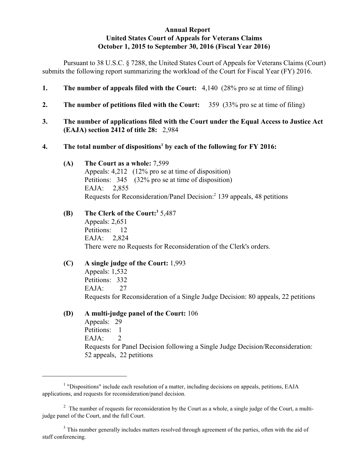#### **Annual Report United States Court of Appeals for Veterans Claims October 1, 2015 to September 30, 2016 (Fiscal Year 2016)**

Pursuant to 38 U.S.C. § 7288, the United States Court of Appeals for Veterans Claims (Court) submits the following report summarizing the workload of the Court for Fiscal Year (FY) 2016.

- **1. The number of appeals filed with the Court:** 4,140 (28% pro se at time of filing)
- **2. The number of petitions filed with the Court:** 359 (33% pro se at time of filing)
- **3. The number of applications filed with the Court under the Equal Access to Justice Act (EAJA) section 2412 of title 28:** 2,984

#### **4.** The total number of dispositions<sup>1</sup> by each of the following for FY 2016:

- **(A) The Court as a whole:** 7,599 Appeals: 4,212 (12% pro se at time of disposition) Petitions: 345 (32% pro se at time of disposition) EAJA: 2,855 Requests for Reconsideration/Panel Decision:<sup>2</sup> 139 appeals, 48 petitions
- **(B) The Clerk of the Court:** 5,487 **<sup>3</sup>** Appeals: 2,651 Petitions: 12 EAJA: 2,824 There were no Requests for Reconsideration of the Clerk's orders.

# **(C) A single judge of the Court:** 1,993

Appeals: 1,532 Petitions: 332 EAJA: 27 Requests for Reconsideration of a Single Judge Decision: 80 appeals, 22 petitions

## **(D) A multi-judge panel of the Court:** 106

Appeals: 29 Petitions: 1  $EAIA: 2$ Requests for Panel Decision following a Single Judge Decision/Reconsideration: 52 appeals, 22 petitions

<sup>&</sup>lt;sup>1</sup> "Dispositions" include each resolution of a matter, including decisions on appeals, petitions, EAJA applications, and requests for reconsideration/panel decision.

 $\frac{1}{2}$  The number of requests for reconsideration by the Court as a whole, a single judge of the Court, a multijudge panel of the Court, and the full Court.

<sup>&</sup>lt;sup>3</sup> This number generally includes matters resolved through agreement of the parties, often with the aid of staff conferencing.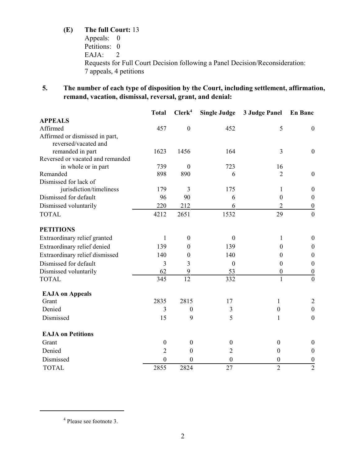# **(E) The full Court:** 13

Appeals: 0 Petitions: 0 EAJA: 2 Requests for Full Court Decision following a Panel Decision/Reconsideration: 7 appeals, 4 petitions

**5. The number of each type of disposition by the Court, including settlement, affirmation, remand, vacation, dismissal, reversal, grant, and denial:**

|                                  | <b>Total</b>     | Clerk <sup>4</sup> | <b>Single Judge</b> | 3 Judge Panel    | <b>En Banc</b>   |
|----------------------------------|------------------|--------------------|---------------------|------------------|------------------|
| <b>APPEALS</b>                   |                  |                    |                     |                  |                  |
| Affirmed                         | 457              | $\boldsymbol{0}$   | 452                 | 5                | $\boldsymbol{0}$ |
| Affirmed or dismissed in part,   |                  |                    |                     |                  |                  |
| reversed/vacated and             |                  |                    |                     |                  |                  |
| remanded in part                 | 1623             | 1456               | 164                 | 3                | $\boldsymbol{0}$ |
| Reversed or vacated and remanded |                  |                    |                     |                  |                  |
| in whole or in part              | 739              | $\boldsymbol{0}$   | 723                 | 16               |                  |
| Remanded                         | 898              | 890                | 6                   | $\overline{2}$   | $\boldsymbol{0}$ |
| Dismissed for lack of            |                  |                    |                     |                  |                  |
| jurisdiction/timeliness          | 179              | 3                  | 175                 | 1                | $\boldsymbol{0}$ |
| Dismissed for default            | 96               | 90                 | 6                   | $\theta$         | $\boldsymbol{0}$ |
| Dismissed voluntarily            | 220              | 212                | 6                   | $\overline{2}$   | $\boldsymbol{0}$ |
| <b>TOTAL</b>                     | 4212             | 2651               | 1532                | 29               | $\overline{0}$   |
| <b>PETITIONS</b>                 |                  |                    |                     |                  |                  |
| Extraordinary relief granted     | 1                | $\boldsymbol{0}$   | $\boldsymbol{0}$    | 1                | $\boldsymbol{0}$ |
| Extraordinary relief denied      | 139              | $\theta$           | 139                 | $\theta$         | $\boldsymbol{0}$ |
| Extraordinary relief dismissed   | 140              | $\boldsymbol{0}$   | 140                 | $\mathbf{0}$     | $\boldsymbol{0}$ |
| Dismissed for default            | 3                | 3                  | $\boldsymbol{0}$    | $\theta$         | $\boldsymbol{0}$ |
| Dismissed voluntarily            | 62               | 9                  | 53                  | $\boldsymbol{0}$ | $\overline{0}$   |
| <b>TOTAL</b>                     | 345              | 12                 | 332                 | $\mathbf{1}$     | $\mathbf{0}$     |
| <b>EAJA on Appeals</b>           |                  |                    |                     |                  |                  |
| Grant                            | 2835             | 2815               | 17                  | 1                | $\overline{2}$   |
| Denied                           | 3                | $\theta$           | 3                   | $\boldsymbol{0}$ | $\mathbf{0}$     |
| Dismissed                        | 15               | 9                  | 5                   | 1                | $\boldsymbol{0}$ |
| <b>EAJA</b> on Petitions         |                  |                    |                     |                  |                  |
| Grant                            | $\boldsymbol{0}$ | $\boldsymbol{0}$   | $\boldsymbol{0}$    | $\boldsymbol{0}$ | $\boldsymbol{0}$ |
| Denied                           | $\overline{c}$   | $\boldsymbol{0}$   | $\overline{2}$      | $\boldsymbol{0}$ | $\boldsymbol{0}$ |
| Dismissed                        | $\boldsymbol{0}$ | $\theta$           | $\boldsymbol{0}$    | $\boldsymbol{0}$ | $\boldsymbol{0}$ |
| <b>TOTAL</b>                     | 2855             | 2824               | 27                  | $\overline{2}$   | $\overline{2}$   |

<sup>&</sup>lt;sup>4</sup> Please see footnote 3.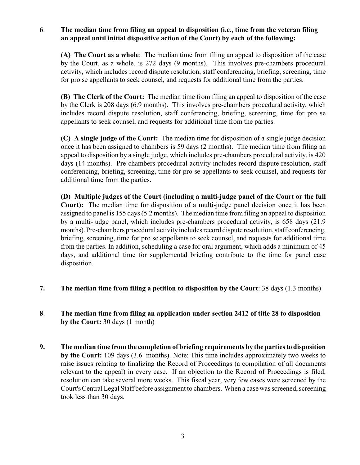## **6**. **The median time from filing an appeal to disposition (i.e., time from the veteran filing an appeal until initial dispositive action of the Court) by each of the following:**

**(A) The Court as a whole**: The median time from filing an appeal to disposition of the case by the Court, as a whole, is 272 days (9 months). This involves pre-chambers procedural activity, which includes record dispute resolution, staff conferencing, briefing, screening, time for pro se appellants to seek counsel, and requests for additional time from the parties.

**(B) The Clerk of the Court:** The median time from filing an appeal to disposition of the case by the Clerk is 208 days (6.9 months). This involves pre-chambers procedural activity, which includes record dispute resolution, staff conferencing, briefing, screening, time for pro se appellants to seek counsel, and requests for additional time from the parties.

**(C) A single judge of the Court:** The median time for disposition of a single judge decision once it has been assigned to chambers is 59 days (2 months). The median time from filing an appeal to disposition by a single judge, which includes pre-chambers procedural activity, is 420 days (14 months). Pre-chambers procedural activity includes record dispute resolution, staff conferencing, briefing, screening, time for pro se appellants to seek counsel, and requests for additional time from the parties.

**(D) Multiple judges of the Court (including a multi-judge panel of the Court or the full Court):** The median time for disposition of a multi-judge panel decision once it has been assigned to panel is 155 days (5.2 months). The median time from filing an appeal to disposition by a multi-judge panel, which includes pre-chambers procedural activity, is 658 days (21.9 months). Pre-chambers procedural activity includes record dispute resolution, staff conferencing, briefing, screening, time for pro se appellants to seek counsel, and requests for additional time from the parties. In addition, scheduling a case for oral argument, which adds a minimum of 45 days, and additional time for supplemental briefing contribute to the time for panel case disposition.

- **7. The median time from filing a petition to disposition by the Court**: 38 days (1.3 months)
- **8**. **The median time from filing an application under section 2412 of title 28 to disposition by the Court:** 30 days (1 month)
- **9. The median time from the completion of briefing requirements by the parties to disposition by the Court:** 109 days (3.6 months). Note: This time includes approximately two weeks to raise issues relating to finalizing the Record of Proceedings (a compilation of all documents relevant to the appeal) in every case. If an objection to the Record of Proceedings is filed, resolution can take several more weeks. This fiscal year, very few cases were screened by the Court's Central Legal Staff before assignment to chambers. When a casewas screened, screening took less than 30 days.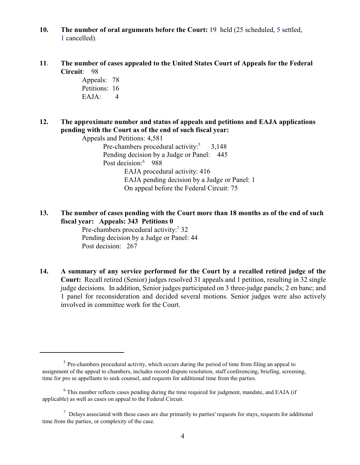- **10. The number of oral arguments before the Court:** 19 held (25 scheduled, 5 settled, 1 cancelled).
- **11**. **The number of cases appealed to the United States Court of Appeals for the Federal Circuit**: 98

Appeals: 78 Petitions: 16 EAJA: 4

**12. The approximate number and status of appeals and petitions and EAJA applications pending with the Court as of the end of such fiscal year:**

Appeals and Petitions: 4,581 Pre-chambers procedural activity: $5 \times 3,148$ Pending decision by a Judge or Panel: 445 Post decision:<sup>6</sup> 988 EAJA procedural activity: 416 EAJA pending decision by a Judge or Panel: 1 On appeal before the Federal Circuit: 75

**13. The number of cases pending with the Court more than 18 months as of the end of such fiscal year: Appeals: 343 Petitions 0**

Pre-chambers procedural activity:<sup>7</sup> 32 Pending decision by a Judge or Panel: 44 Post decision: 267

**14. A summary of any service performed for the Court by a recalled retired judge of the Court:** Recall retired (Senior) judges resolved 31 appeals and 1 petition, resulting in 32 single judge decisions. In addition, Senior judges participated on 3 three-judge panels; 2 en banc; and 1 panel for reconsideration and decided several motions. Senior judges were also actively involved in committee work for the Court.

 $<sup>5</sup>$  Pre-chambers procedural activity, which occurs during the period of time from filing an appeal to</sup> assignment of the appeal to chambers, includes record dispute resolution, staff conferencing, briefing, screening, time for pro se appellants to seek counsel, and requests for additional time from the parties.

 $6$  This number reflects cases pending during the time required for judgment, mandate, and EAJA (if applicable) as well as cases on appeal to the Federal Circuit.

 $\frac{7}{1}$  Delays associated with these cases are due primarily to parties' requests for stays, requests for additional time from the parties, or complexity of the case.